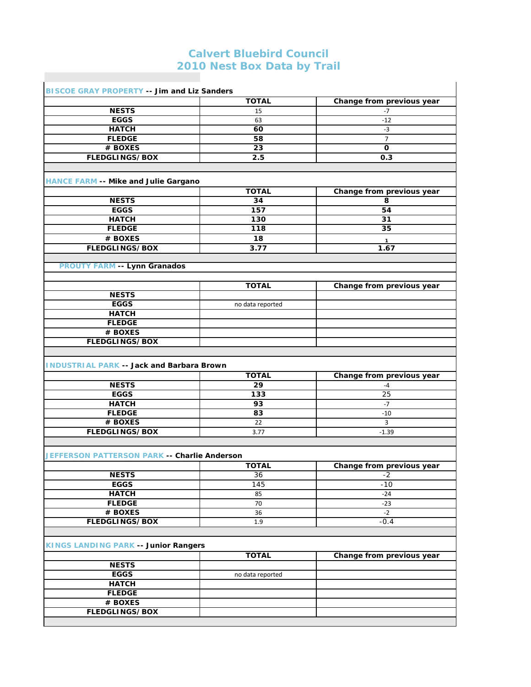## **Calvert Bluebird Council 2010 Nest Box Data by Trail**

| <b>BISCOE GRAY PROPERTY -- Jim and Liz Sanders</b>                                                                                                               |                  |                           |
|------------------------------------------------------------------------------------------------------------------------------------------------------------------|------------------|---------------------------|
|                                                                                                                                                                  | <b>TOTAL</b>     | Change from previous year |
| <b>NESTS</b>                                                                                                                                                     | 15               | $-7$                      |
| <b>EGGS</b>                                                                                                                                                      | 63               | $-12$                     |
| <b>HATCH</b>                                                                                                                                                     | 60               | $-3$                      |
| <b>FLEDGE</b>                                                                                                                                                    | 58               | $\overline{7}$            |
| # BOXES                                                                                                                                                          | 23               | 0                         |
| <b>FLEDGLINGS/BOX</b>                                                                                                                                            | 2.5              | 0.3                       |
|                                                                                                                                                                  |                  |                           |
| <b>HANCE FARM -- Mike and Julie Gargano</b>                                                                                                                      |                  |                           |
|                                                                                                                                                                  | <b>TOTAL</b>     | Change from previous year |
| <b>NESTS</b>                                                                                                                                                     | 34               | 8                         |
| <b>EGGS</b>                                                                                                                                                      | 157              | 54                        |
| <b>HATCH</b>                                                                                                                                                     | 130              | 31                        |
| <b>FLEDGE</b>                                                                                                                                                    | 118              | 35                        |
| # BOXES                                                                                                                                                          | 18               |                           |
| <b>FLEDGLINGS/BOX</b>                                                                                                                                            | 3.77             | $\mathbf{1}$<br>1.67      |
|                                                                                                                                                                  |                  |                           |
| <b>PROUTY FARM -- Lynn Granados</b>                                                                                                                              |                  |                           |
|                                                                                                                                                                  | <b>TOTAL</b>     | Change from previous year |
| <b>NESTS</b>                                                                                                                                                     |                  |                           |
| <b>EGGS</b>                                                                                                                                                      | no data reported |                           |
| <b>HATCH</b>                                                                                                                                                     |                  |                           |
| <b>FLEDGE</b>                                                                                                                                                    |                  |                           |
|                                                                                                                                                                  |                  |                           |
|                                                                                                                                                                  |                  |                           |
| # BOXES<br><b>FLEDGLINGS/BOX</b>                                                                                                                                 |                  |                           |
|                                                                                                                                                                  |                  |                           |
|                                                                                                                                                                  |                  |                           |
|                                                                                                                                                                  | <b>TOTAL</b>     | Change from previous year |
| <b>NESTS</b>                                                                                                                                                     | 29               | $-4$                      |
| <b>EGGS</b>                                                                                                                                                      | 133              | 25                        |
| <b>HATCH</b>                                                                                                                                                     | 93               | $-7$                      |
| <b>FLEDGE</b>                                                                                                                                                    | 83               | $-10$                     |
| # BOXES                                                                                                                                                          | 22               | 3                         |
| <b>FLEDGLINGS/BOX</b>                                                                                                                                            | 3.77             | $-1.39$                   |
|                                                                                                                                                                  |                  |                           |
|                                                                                                                                                                  |                  |                           |
|                                                                                                                                                                  | <b>TOTAL</b>     | Change from previous year |
| <b>NESTS</b>                                                                                                                                                     | 36               | $-2$                      |
| <b>EGGS</b>                                                                                                                                                      | 145              | $-10$                     |
| <b>HATCH</b>                                                                                                                                                     | 85               | $-24$                     |
| <b>FLEDGE</b>                                                                                                                                                    | 70               | $-23$                     |
| # BOXES                                                                                                                                                          | 36               | $-2$                      |
| <b>FLEDGLINGS/BOX</b>                                                                                                                                            | 1.9              | $-0.4$                    |
|                                                                                                                                                                  |                  |                           |
|                                                                                                                                                                  |                  |                           |
|                                                                                                                                                                  | <b>TOTAL</b>     | Change from previous year |
| <b>NESTS</b>                                                                                                                                                     |                  |                           |
| <b>EGGS</b>                                                                                                                                                      | no data reported |                           |
| <b>HATCH</b>                                                                                                                                                     |                  |                           |
| <b>INDUSTRIAL PARK -- Jack and Barbara Brown</b><br>JEFFERSON PATTERSON PARK -- Charlie Anderson<br><b>KINGS LANDING PARK -- Junior Rangers</b><br><b>FLEDGE</b> |                  |                           |
| # BOXES<br><b>FLEDGLINGS/BOX</b>                                                                                                                                 |                  |                           |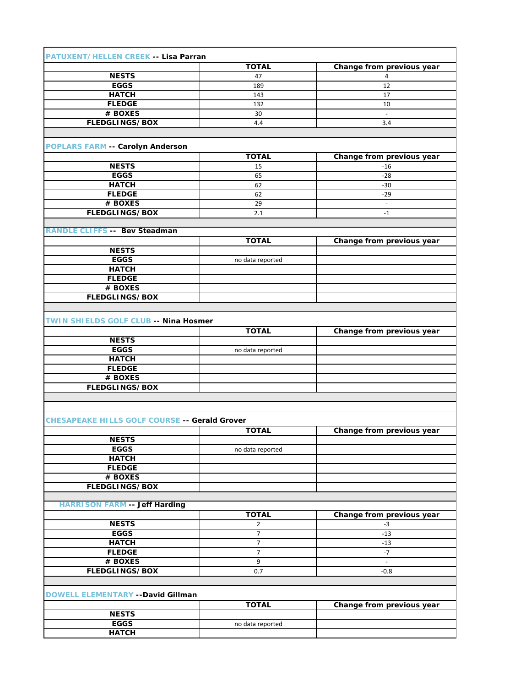| PATUXENT/HELLEN CREEK -- Lisa Parran                 |                  |                           |
|------------------------------------------------------|------------------|---------------------------|
|                                                      | <b>TOTAL</b>     | Change from previous year |
| <b>NESTS</b>                                         | 47               | 4                         |
| <b>EGGS</b>                                          | 189              | 12                        |
| <b>HATCH</b>                                         | 143              | 17                        |
| <b>FLEDGE</b>                                        | 132              | 10                        |
| # BOXES                                              | 30               | $\equiv$                  |
| <b>FLEDGLINGS/BOX</b>                                | 4.4              | 3.4                       |
|                                                      |                  |                           |
|                                                      |                  |                           |
| <b>POPLARS FARM -- Carolyn Anderson</b>              |                  |                           |
|                                                      | <b>TOTAL</b>     | Change from previous year |
| <b>NESTS</b>                                         | 15               | $-16$                     |
| <b>EGGS</b>                                          | 65               | $-28$                     |
| <b>HATCH</b>                                         | 62               | $-30$                     |
| <b>FLEDGE</b>                                        | 62               | $-29$                     |
| # BOXES                                              | 29               | $\blacksquare$            |
| <b>FLEDGLINGS/BOX</b>                                | 2.1              | $-1$                      |
|                                                      |                  |                           |
| <b>RANDLE CLIFFS -- Bev Steadman</b>                 |                  |                           |
|                                                      | <b>TOTAL</b>     | Change from previous year |
| <b>NESTS</b>                                         |                  |                           |
| <b>EGGS</b>                                          | no data reported |                           |
| <b>HATCH</b>                                         |                  |                           |
| <b>FLEDGE</b>                                        |                  |                           |
| # BOXES                                              |                  |                           |
| <b>FLEDGLINGS/BOX</b>                                |                  |                           |
|                                                      |                  |                           |
| TWIN SHIELDS GOLF CLUB -- Nina Hosmer                |                  |                           |
|                                                      | <b>TOTAL</b>     | Change from previous year |
| <b>NESTS</b>                                         |                  |                           |
| <b>EGGS</b>                                          | no data reported |                           |
| <b>HATCH</b>                                         |                  |                           |
| <b>FLEDGE</b>                                        |                  |                           |
| # BOXES                                              |                  |                           |
| <b>FLEDGLINGS/BOX</b>                                |                  |                           |
|                                                      |                  |                           |
|                                                      |                  |                           |
|                                                      |                  |                           |
| <b>CHESAPEAKE HILLS GOLF COURSE -- Gerald Grover</b> |                  |                           |
|                                                      | <b>TOTAL</b>     | Change from previous year |
| <b>NESTS</b>                                         |                  |                           |
| <b>EGGS</b>                                          | no data reported |                           |
| <b>HATCH</b>                                         |                  |                           |
| <b>FLEDGE</b>                                        |                  |                           |
| # BOXES                                              |                  |                           |
| <b>FLEDGLINGS/BOX</b>                                |                  |                           |
|                                                      |                  |                           |
| <b>HARRISON FARM -- Jeff Harding</b>                 |                  |                           |
|                                                      | <b>TOTAL</b>     | Change from previous year |
| <b>NESTS</b>                                         | $\overline{2}$   | $-3$                      |
| <b>EGGS</b>                                          | $\overline{7}$   | $-13$                     |
| <b>HATCH</b>                                         | $\overline{7}$   | $-13$                     |
| <b>FLEDGE</b>                                        | $\overline{7}$   | $-7$                      |
| # BOXES                                              | 9                |                           |
| <b>FLEDGLINGS/BOX</b>                                | 0.7              | $-0.8$                    |
|                                                      |                  |                           |
|                                                      |                  |                           |
| DOWELL ELEMENTARY -- David Gillman                   |                  |                           |
|                                                      | <b>TOTAL</b>     | Change from previous year |
| <b>NESTS</b>                                         |                  |                           |
| <b>EGGS</b>                                          | no data reported |                           |
| <b>HATCH</b>                                         |                  |                           |
|                                                      |                  |                           |